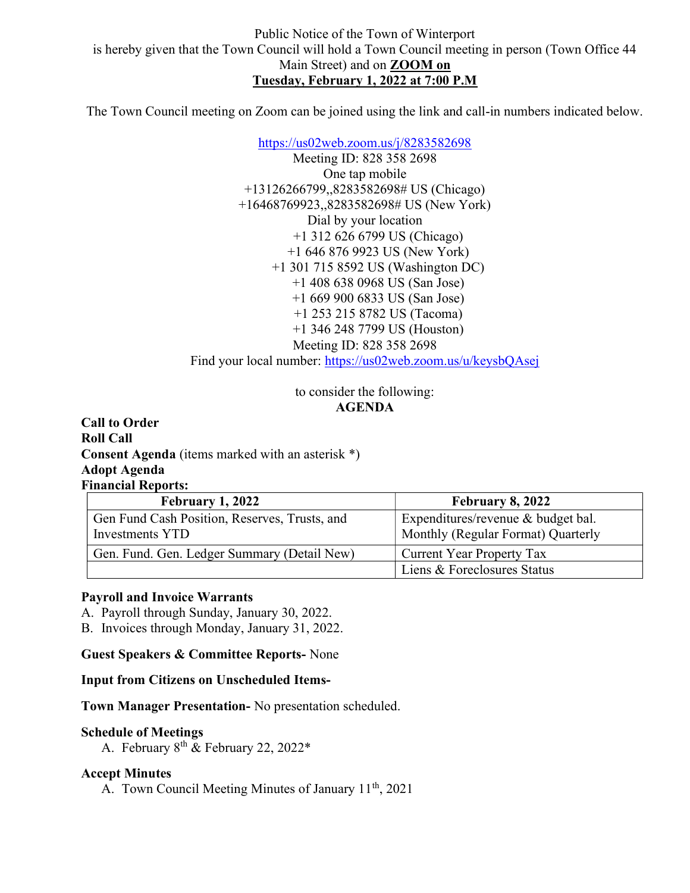The Town Council meeting on Zoom can be joined using the link and call-in numbers indicated below.

https://us02web.zoom.us/j/8283582698 Meeting ID: 828 358 2698 One tap mobile +13126266799,,8283582698# US (Chicago) +16468769923,,8283582698# US (New York) Dial by your location +1 312 626 6799 US (Chicago) +1 646 876 9923 US (New York) +1 301 715 8592 US (Washington DC) +1 408 638 0968 US (San Jose) +1 669 900 6833 US (San Jose) +1 253 215 8782 US (Tacoma) +1 346 248 7799 US (Houston) Meeting ID: 828 358 2698 Find your local number: https://us02web.zoom.us/u/keysbQAsej

> to consider the following: AGENDA

Call to Order Roll Call Consent Agenda (items marked with an asterisk \*) Adopt Agenda Financial Reports:

| <b>February 1, 2022</b>                                          | <b>February 8, 2022</b>                                                  |
|------------------------------------------------------------------|--------------------------------------------------------------------------|
| Gen Fund Cash Position, Reserves, Trusts, and<br>Investments YTD | Expenditures/revenue & budget bal.<br>Monthly (Regular Format) Quarterly |
| Gen. Fund. Gen. Ledger Summary (Detail New)                      | Current Year Property Tax                                                |
|                                                                  | Liens & Foreclosures Status                                              |

#### Payroll and Invoice Warrants

A. Payroll through Sunday, January 30, 2022.

B. Invoices through Monday, January 31, 2022.

Guest Speakers & Committee Reports- None

Input from Citizens on Unscheduled Items-

Town Manager Presentation- No presentation scheduled.

#### Schedule of Meetings

A. February  $8^{th}$  & February 22, 2022\*

#### Accept Minutes

A. Town Council Meeting Minutes of January 11<sup>th</sup>, 2021